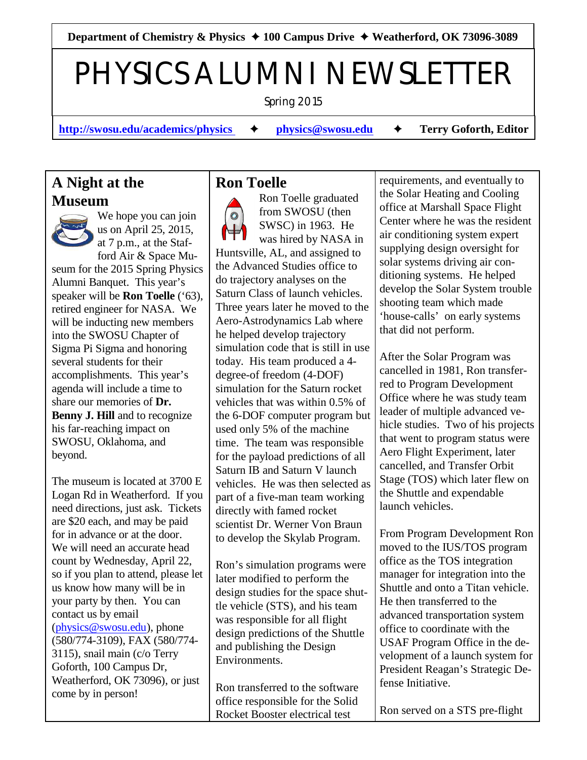Department of Chemistry & Physics **→ 100 Campus Drive → Weatherford, OK 73096-3089** 

# PHYSICS ALUMNI NEWSLETTER

Spring 2015

**[http://swosu.edu/academics/physics](http://swosu.edu/academics/physics%20) → [physics@swosu.edu](mailto:physics@swosu.edu) → Terry Goforth, Editor** 

## **A Night at the Museum**



We hope you can join us on April 25, 2015, at 7 p.m., at the Staf-

ford Air & Space Museum for the 2015 Spring Physics Alumni Banquet. This year's speaker will be **Ron Toelle** ('63), retired engineer for NASA. We will be inducting new members into the SWOSU Chapter of Sigma Pi Sigma and honoring several students for their accomplishments. This year's agenda will include a time to share our memories of **Dr. Benny J. Hill and to recognize** his far-reaching impact on SWOSU, Oklahoma, and beyond.

The museum is located at 3700 E Logan Rd in Weatherford. If you need directions, just ask. Tickets are \$20 each, and may be paid for in advance or at the door. We will need an accurate head count by Wednesday, April 22, so if you plan to attend, please let us know how many will be in your party by then. You can contact us by email [\(physics@swosu.edu](mailto:%20physics@swosu.edu)), phone (580/774-3109), FAX (580/774- 3115), snail main (c/o Terry Goforth, 100 Campus Dr, Weatherford, OK 73096), or just come by in person!

### **Ron Toelle**

Ron Toelle graduated from SWOSU (then  $\circledcirc$ SWSC) in 1963. He was hired by NASA in Huntsville, AL, and assigned to the Advanced Studies office to do trajectory analyses on the Saturn Class of launch vehicles. Three years later he moved to the Aero-Astrodynamics Lab where he helped develop trajectory simulation code that is still in use today. His team produced a 4 degree-of freedom (4-DOF) simulation for the Saturn rocket vehicles that was within 0.5% of the 6-DOF computer program but used only 5% of the machine time. The team was responsible for the payload predictions of all Saturn IB and Saturn V launch vehicles. He was then selected as part of a five-man team working directly with famed rocket scientist Dr. Werner Von Braun to develop the Skylab Program.

Ron's simulation programs were later modified to perform the design studies for the space shuttle vehicle (STS), and his team was responsible for all flight design predictions of the Shuttle and publishing the Design Environments.

Ron transferred to the software office responsible for the Solid Rocket Booster electrical test

requirements, and eventually to the Solar Heating and Cooling office at Marshall Space Flight Center where he was the resident air conditioning system expert supplying design oversight for solar systems driving air conditioning systems. He helped develop the Solar System trouble shooting team which made 'house-calls' on early systems that did not perform.

After the Solar Program was cancelled in 1981, Ron transferred to Program Development Office where he was study team leader of multiple advanced vehicle studies. Two of his projects that went to program status were Aero Flight Experiment, later cancelled, and Transfer Orbit Stage (TOS) which later flew on the Shuttle and expendable launch vehicles.

From Program Development Ron moved to the IUS/TOS program office as the TOS integration manager for integration into the Shuttle and onto a Titan vehicle. He then transferred to the advanced transportation system office to coordinate with the USAF Program Office in the development of a launch system for President Reagan's Strategic Defense Initiative.

Ron served on a STS pre-flight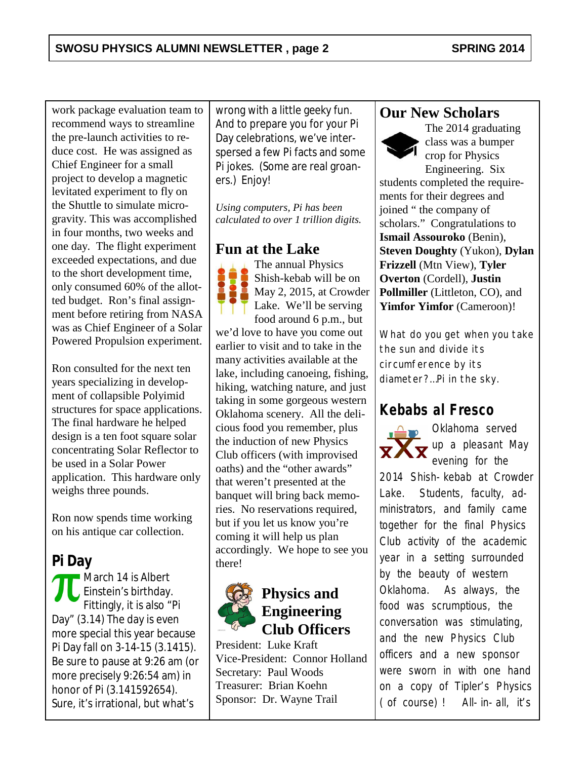work package evaluation team to recommend ways to streamline the pre-launch activities to reduce cost. He was assigned as Chief Engineer for a small project to develop a magnetic levitated experiment to fly on the Shuttle to simulate microgravity. This was accomplished in four months, two weeks and one day. The flight experiment exceeded expectations, and due to the short development time, only consumed 60% of the allotted budget. Ron's final assignment before retiring from NASA was as Chief Engineer of a Solar Powered Propulsion experiment.

Ron consulted for the next ten years specializing in development of collapsible Polyimid structures for space applications. The final hardware he helped design is a ten foot square solar concentrating Solar Reflector to be used in a Solar Power application. This hardware only weighs three pounds.

Ron now spends time working on his antique car collection.

#### **Pi Day**

March 14 is Albert Einstein's birthday. Fittingly, it is also "Pi Day" (3.14) The day is even more special this year because Pi Day fall on 3-14-15 (3.1415). Be sure to pause at 9:26 am (or more precisely 9:26:54 am) in honor of Pi (3.141592654). Sure, it's irrational, but what's

wrong with a little geeky fun. And to prepare you for your Pi Day celebrations, we've interspersed a few Pi facts and some Pi jokes. (Some are real groaners.) Enjoy!

*Using computers, Pi has been calculated to over 1 trillion digits.*

#### **Fun at the Lake**

The annual Physics Shish-kebab will be on May 2, 2015, at Crowder Lake. We'll be serving food around 6 p.m., but we'd love to have you come out earlier to visit and to take in the many activities available at the lake, including canoeing, fishing, hiking, watching nature, and just taking in some gorgeous western Oklahoma scenery. All the delicious food you remember, plus the induction of new Physics Club officers (with improvised oaths) and the "other awards" that weren't presented at the banquet will bring back memories. No reservations required, but if you let us know you're coming it will help us plan accordingly. We hope to see you there!



## **Physics and Engineering Club Officers**

President: Luke Kraft Vice-President: Connor Holland Secretary: Paul Woods Treasurer: Brian Koehn Sponsor: Dr. Wayne Trail

#### **Our New Scholars**



The 2014 graduating class was a bumper crop for Physics Engineering. Six

students completed the requirements for their degrees and joined " the company of scholars." Congratulations to **Ismail Assouroko** (Benin), **Steven Doughty** (Yukon), **Dylan Frizzell** (Mtn View), **Tyler Overton** (Cordell), **Justin Pollmiller** (Littleton, CO), and **Yimfor Yimfor** (Cameroon)!

*What do you get when you take the sun and divide its circumference by its diameter?…Pi in the sky.*

## **Kebabs al Fresco**



Oklahoma served  $\overline{\mathbf{X}}$  up a pleasant May evening for the

2014 Shish-kebab at Crowder Lake. Students, faculty, administrators, and family came together for the final Physics Club activity of the academic year in a setting surrounded by the beauty of western Oklahoma. As always, the food was scrumptious, the conversation was stimulating, and the new Physics Club officers and a new sponsor were sworn in with one hand on a copy of Tipler's *Physics* (of course)! All-in-all, it's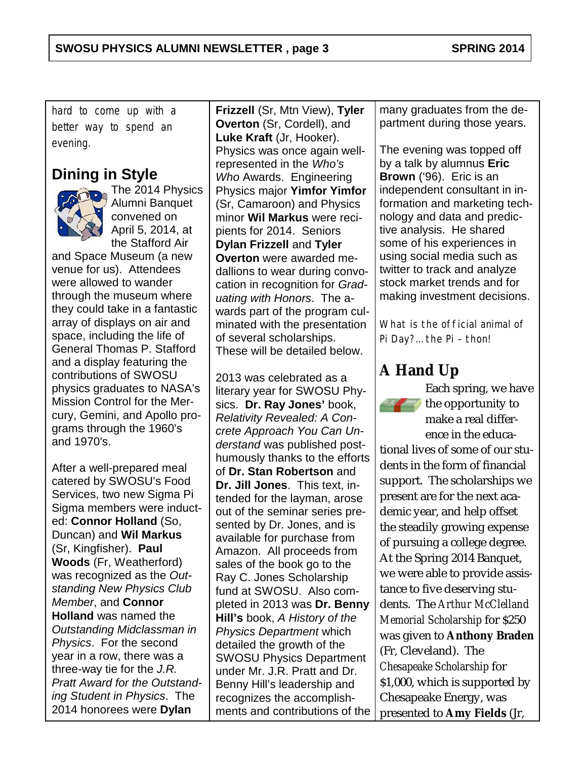hard to come up with a better way to spend an evening.

## **Dining in Style**



The 2014 Physics Alumni Banquet convened on April 5, 2014, at the Stafford Air

and Space Museum (a new venue for us). Attendees were allowed to wander through the museum where they could take in a fantastic array of displays on air and space, including the life of General Thomas P. Stafford and a display featuring the contributions of SWOSU physics graduates to NASA's Mission Control for the Mercury, Gemini, and Apollo programs through the 1960's and 1970's.

After a well-prepared meal catered by SWOSU's Food Services, two new Sigma Pi Sigma members were inducted: **Connor Holland** (So, Duncan) and **Wil Markus** (Sr, Kingfisher). **Paul Woods** (Fr, Weatherford) was recognized as the *Outstanding New Physics Club Member*, and **Connor Holland** was named the *Outstanding Midclassman in Physics*. For the second year in a row, there was a three-way tie for the *J.R. Pratt Award for the Outstanding Student in Physics*. The 2014 honorees were **Dylan**

**Frizzell** (Sr, Mtn View), **Tyler Overton** (Sr, Cordell), and **Luke Kraft** (Jr, Hooker). Physics was once again wellrepresented in the *Who's Who* Awards. Engineering Physics major **Yimfor Yimfor** (Sr, Camaroon) and Physics minor **Wil Markus** were recipients for 2014. Seniors **Dylan Frizzell** and **Tyler Overton** were awarded medallions to wear during convocation in recognition for *Graduating with Honors*. The awards part of the program culminated with the presentation of several scholarships. These will be detailed below.

2013 was celebrated as a literary year for SWOSU Physics. **Dr. Ray Jones'** book, *Relativity Revealed: A Concrete Approach You Can Understand* was published posthumously thanks to the efforts of **Dr. Stan Robertson** and **Dr. Jill Jones**. This text, intended for the layman, arose out of the seminar series presented by Dr. Jones, and is available for purchase from Amazon. All proceeds from sales of the book go to the Ray C. Jones Scholarship fund at SWOSU. Also completed in 2013 was **Dr. Benny Hill's** book, *A History of the Physics Department* which detailed the growth of the SWOSU Physics Department under Mr. J.R. Pratt and Dr. Benny Hill's leadership and recognizes the accomplishments and contributions of the many graduates from the department during those years.

The evening was topped off by a talk by alumnus **Eric Brown** ('96). Eric is an independent consultant in information and marketing technology and data and predictive analysis. He shared some of his experiences in using social media such as twitter to track and analyze stock market trends and for making investment decisions.

*What is the official animal of Pi Day?… the Pi – thon!*

# **A Hand Up**



Each spring, we have  $\leq$  the opportunity to make a real difference in the educa-

tional lives of some of our students in the form of financial support. The scholarships we present are for the next academic year, and help offset the steadily growing expense of pursuing a college degree. At the Spring 2014 Banquet, we were able to provide assistance to five deserving students. The *Arthur McClelland Memorial Scholarship* for \$250 was given to **Anthony Braden** (Fr, Cleveland). The *Chesapeake Scholarship* for \$1,000, which is supported by Chesapeake Energy, was presented to **Amy Fields** (Jr,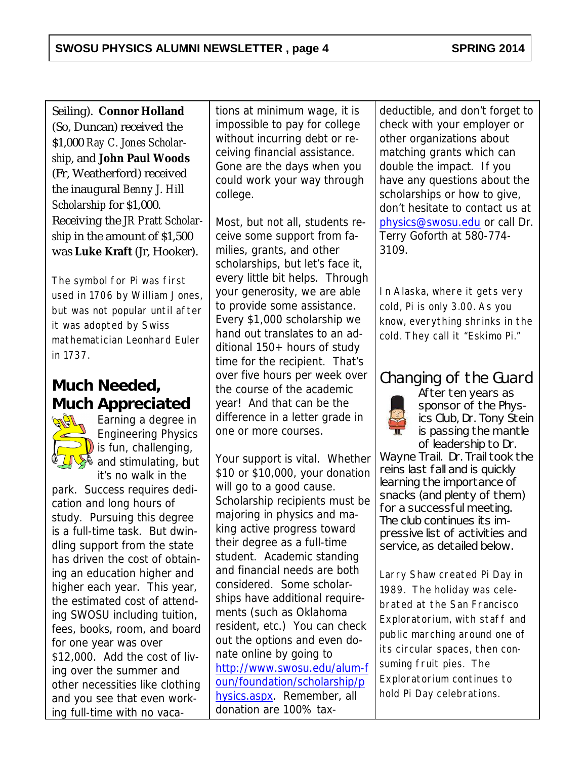Seiling). **Connor Holland** (So, Duncan) received the \$1,000 *Ray C. Jones Scholarship*, and **John Paul Woods** (Fr, Weatherford) received the inaugural *Benny J. Hill Scholarship* for \$1,000. Receiving the *JR Pratt Scholarship* in the amount of \$1,500 was **Luke Kraft** (Jr, Hooker).

*The symbol for Pi was first used in 1706 by William Jones, but was not popular until after it was adopted by Swiss mathematician Leonhard Euler in 1737.*

# **Much Needed, Much Appreciated**



Earning a degree in Engineering Physics  $\left( \right)$  is fun, challenging,  $\rightarrow$  and stimulating, but it's no walk in the

park. Success requires dedication and long hours of study. Pursuing this degree is a full-time task. But dwindling support from the state has driven the cost of obtaining an education higher and higher each year. This year, the estimated cost of attending SWOSU including tuition, fees, books, room, and board for one year was over \$12,000. Add the cost of living over the summer and other necessities like clothing and you see that even working full-time with no vaca-

tions at minimum wage, it is impossible to pay for college without incurring debt or receiving financial assistance. Gone are the days when you could work your way through college.

Most, but not all, students receive some support from families, grants, and other scholarships, but let's face it, every little bit helps. Through your generosity, we are able to provide some assistance. Every \$1,000 scholarship we hand out translates to an additional 150+ hours of study time for the recipient. That's over five hours per week over the course of the academic year! And that can be the difference in a letter grade in one or more courses.

Your support is vital. Whether \$10 or \$10,000, your donation will go to a good cause. Scholarship recipients must be majoring in physics and making active progress toward their degree as a full-time student. Academic standing and financial needs are both considered. Some scholarships have additional requirements (such as Oklahoma resident, etc.) You can check out the options and even donate online by going to [http://www.swosu.edu/alum-f](http://www.swosu.edu/alum-foun/foundation/scholarship/physics.aspx) [oun/foundation/scholarship/p](http://www.swosu.edu/alum-foun/foundation/scholarship/physics.aspx) [hysics.aspx](http://www.swosu.edu/alum-foun/foundation/scholarship/physics.aspx). Remember, all donation are 100% taxdeductible, and don't forget to check with your employer or other organizations about matching grants which can double the impact. If you have any questions about the scholarships or how to give, don't hesitate to contact us at [physics@swosu.edu](mailto:%20physics@swosu.edu) or call Dr. Terry Goforth at 580-774- 3109.

*In Alaska, where it gets very cold, Pi is only 3.00. As you know, everything shrinks in the cold. They call it "Eskimo Pi."*

## Changing of the Guard



After ten years as sponsor of the Physics Club, Dr. Tony Stein is passing the mantle of leadership to Dr.

Wayne Trail. Dr. Trail took the reins last fall and is quickly learning the importance of snacks (and plenty of them) for a successful meeting. The club continues its impressive list of activities and service, as detailed below.

*Larry Shaw created Pi Day in 1989. The holiday was celebrated at the San Francisco Exploratorium, with staff and public marching around one of its circular spaces, then consuming fruit pies. The Exploratorium continues to hold Pi Day celebrations.*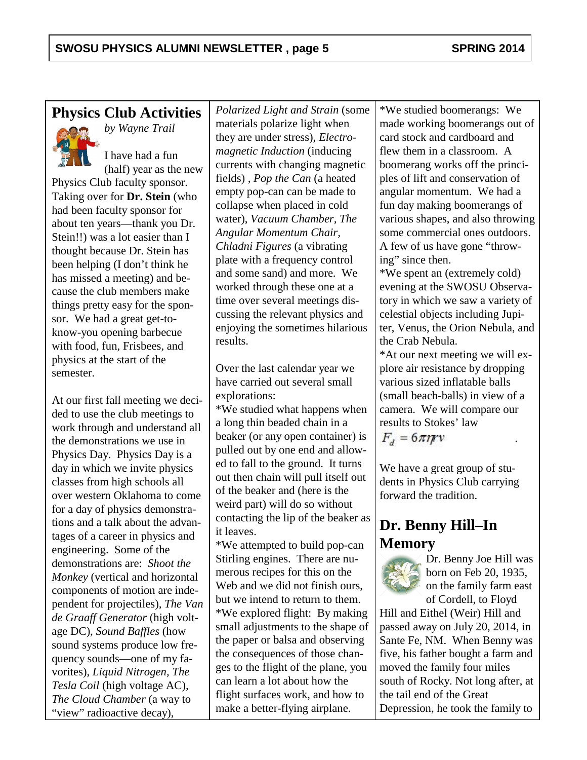## **Physics Club Activities**

*by Wayne Trail*



I have had a fun (half) year as the new

Physics Club faculty sponsor. Taking over for **Dr. Stein** (who had been faculty sponsor for about ten years—thank you Dr. Stein!!) was a lot easier than I thought because Dr. Stein has been helping (I don't think he has missed a meeting) and because the club members make things pretty easy for the sponsor. We had a great get-toknow-you opening barbecue with food, fun, Frisbees, and physics at the start of the semester.

At our first fall meeting we decided to use the club meetings to work through and understand all the demonstrations we use in Physics Day. Physics Day is a day in which we invite physics classes from high schools all over western Oklahoma to come for a day of physics demonstrations and a talk about the advantages of a career in physics and engineering. Some of the demonstrations are: *Shoot the Monkey* (vertical and horizontal components of motion are independent for projectiles)*, The Van de Graaff Generator* (high voltage DC)*, Sound Baffles* (how sound systems produce low frequency sounds—one of my favorites), *Liquid Nitrogen, The Tesla Coil* (high voltage AC)*, The Cloud Chamber* (a way to "view" radioactive decay)*,*

*Polarized Light and Strain* (some materials polarize light when they are under stress)*, Electromagnetic Induction* (inducing currents with changing magnetic fields) *, Pop the Can* (a heated empty pop-can can be made to collapse when placed in cold water), *Vacuum Chamber, The Angular Momentum Chair, Chladni Figures* (a vibrating plate with a frequency control and some sand) and more. We worked through these one at a time over several meetings discussing the relevant physics and enjoying the sometimes hilarious results.

Over the last calendar year we have carried out several small explorations:

\*We studied what happens when a long thin beaded chain in a beaker (or any open container) is pulled out by one end and allowed to fall to the ground. It turns out then chain will pull itself out of the beaker and (here is the weird part) will do so without contacting the lip of the beaker as it leaves.

\*We attempted to build pop-can Stirling engines. There are numerous recipes for this on the Web and we did not finish ours. but we intend to return to them. \*We explored flight: By making small adjustments to the shape of the paper or balsa and observing the consequences of those changes to the flight of the plane, you can learn a lot about how the flight surfaces work, and how to make a better-flying airplane.

\*We studied boomerangs: We made working boomerangs out of card stock and cardboard and flew them in a classroom. A boomerang works off the principles of lift and conservation of angular momentum. We had a fun day making boomerangs of various shapes, and also throwing some commercial ones outdoors. A few of us have gone "throwing" since then.

\*We spent an (extremely cold) evening at the SWOSU Observatory in which we saw a variety of celestial objects including Jupiter, Venus, the Orion Nebula, and the Crab Nebula.

\*At our next meeting we will explore air resistance by dropping various sized inflatable balls (small beach-balls) in view of a camera. We will compare our results to Stokes' law .

 $F_a = 6\pi\eta r v$ 

We have a great group of students in Physics Club carrying forward the tradition.

## **Dr. Benny Hill–In Memory**



Dr. Benny Joe Hill was born on Feb 20, 1935, on the family farm east of Cordell, to Floyd

Hill and Eithel (Weir) Hill and passed away on July 20, 2014, in Sante Fe, NM. When Benny was five, his father bought a farm and moved the family four miles south of Rocky. Not long after, at the tail end of the Great Depression, he took the family to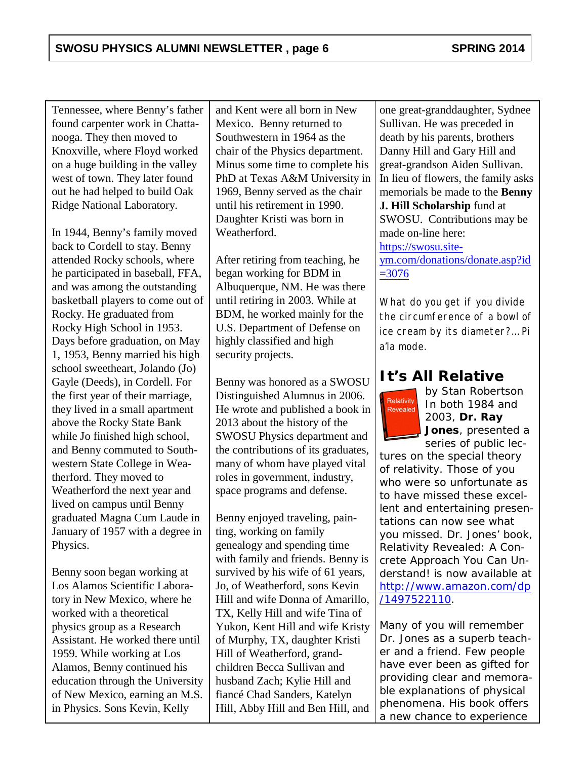Tennessee, where Benny's father found carpenter work in Chattanooga. They then moved to Knoxville, where Floyd worked on a huge building in the valley west of town. They later found out he had helped to build Oak Ridge National Laboratory.

In 1944, Benny's family moved back to Cordell to stay. Benny attended Rocky schools, where he participated in baseball, FFA, and was among the outstanding basketball players to come out of Rocky. He graduated from Rocky High School in 1953. Days before graduation, on May 1, 1953, Benny married his high school sweetheart, Jolando (Jo) Gayle (Deeds), in Cordell. For the first year of their marriage, they lived in a small apartment above the Rocky State Bank while Jo finished high school, and Benny commuted to Southwestern State College in Weatherford. They moved to Weatherford the next year and lived on campus until Benny graduated Magna Cum Laude in January of 1957 with a degree in Physics.

Benny soon began working at Los Alamos Scientific Laboratory in New Mexico, where he worked with a theoretical physics group as a Research Assistant. He worked there until 1959. While working at Los Alamos, Benny continued his education through the University of New Mexico, earning an M.S. in Physics. Sons Kevin, Kelly

and Kent were all born in New Mexico. Benny returned to Southwestern in 1964 as the chair of the Physics department. Minus some time to complete his PhD at Texas A&M University in 1969, Benny served as the chair until his retirement in 1990. Daughter Kristi was born in Weatherford.

After retiring from teaching, he began working for BDM in Albuquerque, NM. He was there until retiring in 2003. While at BDM, he worked mainly for the U.S. Department of Defense on highly classified and high security projects.

Benny was honored as a SWOSU Distinguished Alumnus in 2006. He wrote and published a book in 2013 about the history of the SWOSU Physics department and the contributions of its graduates, many of whom have played vital roles in government, industry, space programs and defense.

Benny enjoyed traveling, painting, working on family genealogy and spending time with family and friends. Benny is survived by his wife of 61 years, Jo, of Weatherford, sons Kevin Hill and wife Donna of Amarillo, TX, Kelly Hill and wife Tina of Yukon, Kent Hill and wife Kristy of Murphy, TX, daughter Kristi Hill of Weatherford, grandchildren Becca Sullivan and husband Zach; Kylie Hill and fiancé Chad Sanders, Katelyn Hill, Abby Hill and Ben Hill, and

one great-granddaughter, Sydnee Sullivan. He was preceded in death by his parents, brothers Danny Hill and Gary Hill and great-grandson Aiden Sullivan. In lieu of flowers, the family asks memorials be made to the **Benny J. Hill Scholarship** fund at SWOSU. Contributions may be made on-line here: [https://swosu.site-](https://swosu.site-ym.com/donations/donate.asp?id=3076)

[ym.com/donations/donate.asp?id](https://swosu.site-ym.com/donations/donate.asp?id=3076)  $=3076$ 

*What do you get if you divide the circumference of a bowl of ice cream by its diameter?… Pi a'la mode.*

## **It's All Relative**



*by Stan Robertson* In both 1984 and 2003, **Dr. Ray Jones**, presented a series of public lec-

tures on the special theory of relativity. Those of you who were so unfortunate as to have missed these excellent and entertaining presentations can now see what you missed. Dr. Jones' book, *Relativity Revealed: A Concrete Approach You Can Understand!* is now available at [http://www.amazon.com/dp](http://www.amazon.com/dp/1497522110) [/1497522110](http://www.amazon.com/dp/1497522110).

Many of you will remember Dr. Jones as a superb teacher and a friend. Few people have ever been as gifted for providing clear and memorable explanations of physical phenomena. His book offers a new chance to experience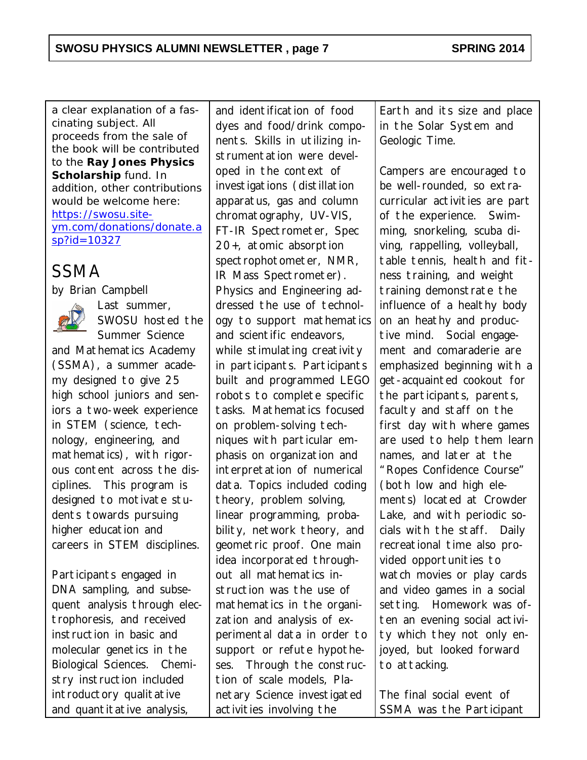a clear explanation of a fascinating subject. All proceeds from the sale of the book will be contributed to the **Ray Jones Physics Scholarship** fund. In addition, other contributions would be welcome here: [https://swosu.site](https://swosu.site-ym.com/donations/donate.asp?id=10327)[ym.com/donations/donate.a](https://swosu.site-ym.com/donations/donate.asp?id=10327) [sp?id=10327](https://swosu.site-ym.com/donations/donate.asp?id=10327)

# *SSMA*

*by Brian Campbell*



*SWOSU hosted the Summer Science and Mathematics Academy (SSMA), a summer academy designed to give 25 high school juniors and seniors a two-week experience in STEM (science, technology, engineering, and*

*Last summer,*

*mathematics), with rigorous content across the disciplines. This program is designed to motivate students towards pursuing higher education and careers in STEM disciplines.* 

*Participants engaged in DNA sampling, and subsequent analysis through electrophoresis, and received instruction in basic and molecular genetics in the Biological Sciences. Chemistry instruction included introductory qualitative and quantitative analysis,*

*and identification of food dyes and food/drink components. Skills in utilizing instrumentation were developed in the context of investigations (distillation apparatus, gas and column chromatography, UV-VIS, FT-IR Spectrometer, Spec 20+, atomic absorption spectrophotometer, NMR, IR Mass Spectrometer). Physics and Engineering addressed the use of technology to support mathematics and scientific endeavors, while stimulating creativity in participants. Participants built and programmed LEGO robots to complete specific tasks. Mathematics focused on problem-solving techniques with particular emphasis on organization and interpretation of numerical data. Topics included coding theory, problem solving, linear programming, probability, network theory, and geometric proof. One main idea incorporated throughout all mathematics instruction was the use of mathematics in the organization and analysis of experimental data in order to support or refute hypotheses. Through the construction of scale models, Planetary Science investigated activities involving the*

*Earth and its size and place in the Solar System and Geologic Time.*

*Campers are encouraged to be well-rounded, so extracurricular activities are part of the experience. Swimming, snorkeling, scuba diving, rappelling, volleyball, table tennis, health and fitness training, and weight training demonstrate the influence of a healthy body on an heathy and productive mind. Social engagement and comaraderie are emphasized beginning with a get-acquainted cookout for the participants, parents, faculty and staff on the first day with where games are used to help them learn names, and later at the "Ropes Confidence Course" (both low and high elements) located at Crowder Lake, and with periodic socials with the staff. Daily recreational time also provided opportunities to watch movies or play cards and video games in a social setting. Homework was often an evening social activity which they not only enjoyed, but looked forward to attacking.*

*The final social event of SSMA was the Participant*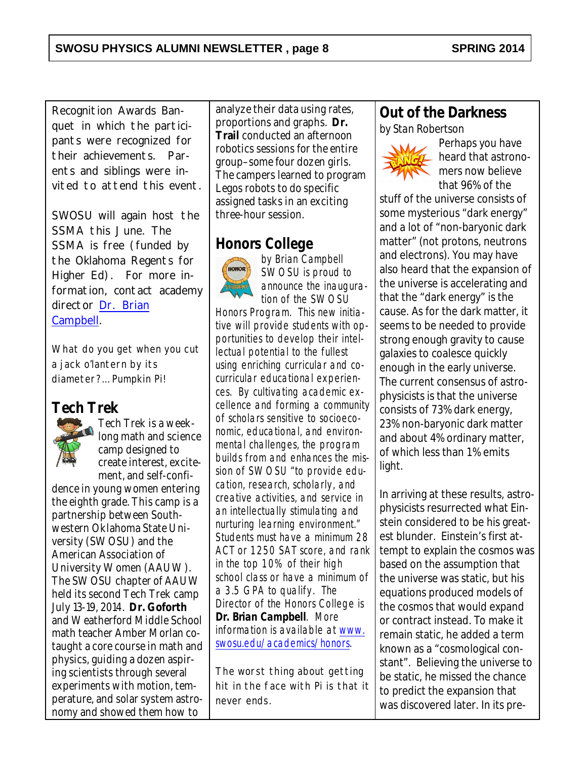*Recognition Awards Banquet in which the participants were recognized for their achievements. Parents and siblings were invited to attend this event.*

*SWOSU will again host the SSMA this June. The SSMA is free (funded by the Oklahoma Regents for Higher Ed). For more information, contact academy director [Dr. Brian](mailto:%20brian.campbell@swosu.edu) [Campbell](mailto:%20brian.campbell@swosu.edu).*

*What do you get when you cut a jack o'lantern by its diameter?… Pumpkin Pi!*

#### **Tech Trek**



Tech Trek is a weeklong math and science camp designed to create interest, excitement, and self-confi-

dence in young women entering the eighth grade. This camp is a partnership between Southwestern Oklahoma State University (SWOSU) and the American Association of University Women (AAUW). The SWOSU chapter of AAUW held its second Tech Trek camp July 13-19, 2014. **Dr. Goforth** and Weatherford Middle School math teacher Amber Morlan cotaught a core course in math and physics, guiding a dozen aspiring scientists through several experiments with motion, temperature, and solar system astronomy and showed them how to

analyze their data using rates, proportions and graphs. **Dr. Trail** conducted an afternoon robotics sessions for the entire group–some four dozen girls. The campers learned to program Legos robots to do specific assigned tasks in an exciting three-hour session.

#### **Honors College**



*by Brian Campbell* SWOSU is proud to announce the inauguration of the SWOSU

Honors Program. This new initiative will provide students with opportunities to develop their intellectual potential to the fullest using enriching curricular and cocurricular educational experiences. By cultivating academic excellence and forming a community of scholars sensitive to socioeconomic, educational, and environmental challenges, the program builds from and enhances the mission of SWOSU "to provide education, research, scholarly, and creative activities, and service in an intellectually stimulating and nurturing learning environment." Students must have a minimum 28 ACT or 1250 SAT score, and rank in the top 10% of their high school class or have a minimum of a 3.5 GPA to qualify. The Director of the Honors College is **Dr. Brian Campbell**. More information is available at [www.](http://www.swosu.edu/academics/honors) [swosu.edu/academics/honors](http://www.swosu.edu/academics/honors).

*The worst thing about getting hit in the face with Pi is that it never ends.*

#### **Out of the Darkness** *by Stan Robertson*



Perhaps you have heard that astronomers now believe that 96% of the

stuff of the universe consists of some mysterious "dark energy" and a lot of "non-baryonic dark matter" (not protons, neutrons and electrons). You may have also heard that the expansion of the universe is accelerating and that the "dark energy" is the cause. As for the dark matter, it seems to be needed to provide strong enough gravity to cause galaxies to coalesce quickly enough in the early universe. The current consensus of astrophysicists is that the universe consists of 73% dark energy, 23% non-baryonic dark matter and about 4% ordinary matter, of which less than 1% emits light.

In arriving at these results, astrophysicists resurrected what Einstein considered to be his greatest blunder. Einstein's first attempt to explain the cosmos was based on the assumption that the universe was static, but his equations produced models of the cosmos that would expand or contract instead. To make it remain static, he added a term known as a "cosmological constant". Believing the universe to be static, he missed the chance to predict the expansion that was discovered later. In its pre-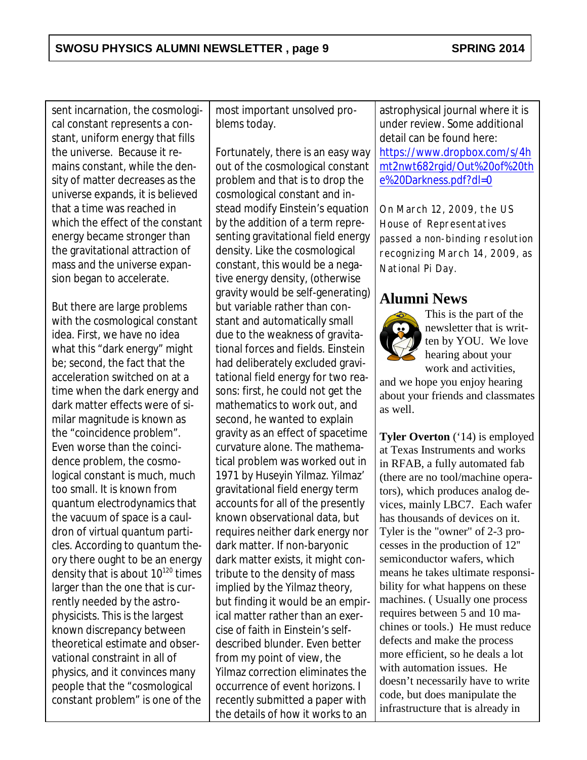sent incarnation, the cosmological constant represents a constant, uniform energy that fills the universe. Because it remains constant, while the density of matter decreases as the universe expands, it is believed that a time was reached in which the effect of the constant energy became stronger than the gravitational attraction of mass and the universe expansion began to accelerate.

But there are large problems with the cosmological constant idea. First, we have no idea what this "dark energy" might be; second, the fact that the acceleration switched on at a time when the dark energy and dark matter effects were of similar magnitude is known as the "coincidence problem". Even worse than the coincidence problem, the cosmological constant is much, much too small. It is known from quantum electrodynamics that the vacuum of space is a cauldron of virtual quantum particles. According to quantum theory there ought to be an energy density that is about  $10^{120}$  times larger than the one that is currently needed by the astrophysicists. This is the largest known discrepancy between theoretical estimate and observational constraint in all of physics, and it convinces many people that the "cosmological constant problem" is one of the most important unsolved problems today.

Fortunately, there is an easy way out of the cosmological constant problem and that is to drop the cosmological constant and instead modify Einstein's equation by the addition of a term representing gravitational field energy density. Like the cosmological constant, this would be a negative energy density, (otherwise gravity would be self-generating) but variable rather than constant and automatically small due to the weakness of gravitational forces and fields. Einstein had deliberately excluded gravitational field energy for two reasons: first, he could not get the mathematics to work out, and second, he wanted to explain gravity as an effect of spacetime curvature alone. The mathematical problem was worked out in 1971 by Huseyin Yilmaz. Yilmaz' gravitational field energy term accounts for all of the presently known observational data, but requires neither dark energy nor dark matter. If non-baryonic dark matter exists, it might contribute to the density of mass implied by the Yilmaz theory, but finding it would be an empirical matter rather than an exercise of faith in Einstein's selfdescribed blunder. Even better from my point of view, the Yilmaz correction eliminates the occurrence of event horizons. I recently submitted a paper with the details of how it works to an

astrophysical journal where it is under review. Some additional detail can be found here: [https://www.dropbox.com/s/4h](https://www.dropbox.com/s/4hmt2nwt682rgid/Out%20of%20the%20Darkness.pdf?dl=0) [mt2nwt682rgid/Out%20of%20th](https://www.dropbox.com/s/4hmt2nwt682rgid/Out%20of%20the%20Darkness.pdf?dl=0) [e%20Darkness.pdf?dl=0](https://www.dropbox.com/s/4hmt2nwt682rgid/Out%20of%20the%20Darkness.pdf?dl=0)

*On March 12, 2009, the US House of Representatives passed a non-binding resolution recognizing March 14, 2009, as National Pi Day.*

## **Alumni News**



This is the part of the newsletter that is written by YOU. We love hearing about your work and activities,

and we hope you enjoy hearing about your friends and classmates as well.

**Tyler Overton** ('14) is employed at Texas Instruments and works in RFAB, a fully automated fab (there are no tool/machine operators), which produces analog devices, mainly LBC7. Each wafer has thousands of devices on it. Tyler is the "owner" of 2-3 processes in the production of 12'' semiconductor wafers, which means he takes ultimate responsibility for what happens on these machines. ( Usually one process requires between 5 and 10 machines or tools.) He must reduce defects and make the process more efficient, so he deals a lot with automation issues. He doesn't necessarily have to write code, but does manipulate the infrastructure that is already in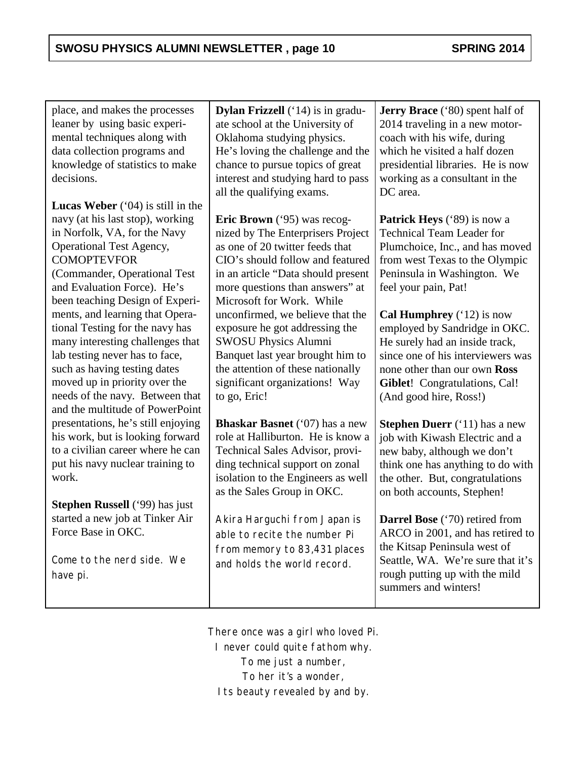place, and makes the processes leaner by using basic experimental techniques along with data collection programs and knowledge of statistics to make decisions.

**Lucas Weber** ('04) is still in the navy (at his last stop), working in Norfolk, VA, for the Navy Operational Test Agency, **COMOPTEVFOR** (Commander, Operational Test and Evaluation Force). He's been teaching Design of Experiments, and learning that Operational Testing for the navy has many interesting challenges that lab testing never has to face, such as having testing dates moved up in priority over the needs of the navy. Between that and the multitude of PowerPoint presentations, he's still enjoying his work, but is looking forward to a civilian career where he can put his navy nuclear training to work.

**Stephen Russell** ('99) has just started a new job at Tinker Air Force Base in OKC.

*Come to the nerd side. We have pi.*

**Dylan Frizzell** ('14) is in graduate school at the University of Oklahoma studying physics. He's loving the challenge and the chance to pursue topics of great interest and studying hard to pass all the qualifying exams.

**Eric Brown** ('95) was recognized by The Enterprisers Project as one of 20 twitter feeds that CIO's should follow and featured in an article "Data should present more questions than answers" at Microsoft for Work. While unconfirmed, we believe that the exposure he got addressing the SWOSU Physics Alumni Banquet last year brought him to the attention of these nationally significant organizations! Way to go, Eric!

**Bhaskar Basnet** ('07) has a new role at Halliburton. He is know a Technical Sales Advisor, providing technical support on zonal isolation to the Engineers as well as the Sales Group in OKC.

*Akira Harguchi from Japan is able to recite the number Pi from memory to 83,431 places and holds the world record.*

**Jerry Brace** ('80) spent half of 2014 traveling in a new motorcoach with his wife, during which he visited a half dozen presidential libraries. He is now working as a consultant in the DC area.

**Patrick Heys** ('89) is now a Technical Team Leader for Plumchoice, Inc., and has moved from west Texas to the Olympic Peninsula in Washington. We feel your pain, Pat!

**Cal Humphrey** ('12) is now employed by Sandridge in OKC. He surely had an inside track, since one of his interviewers was none other than our own **Ross Giblet**! Congratulations, Cal! (And good hire, Ross!)

**Stephen Duerr** ('11) has a new job with Kiwash Electric and a new baby, although we don't think one has anything to do with the other. But, congratulations on both accounts, Stephen!

**Darrel Bose** ('70) retired from ARCO in 2001, and has retired to the Kitsap Peninsula west of Seattle, WA. We're sure that it's rough putting up with the mild summers and winters!

*There once was a girl who loved Pi. I never could quite fathom why. To me just a number, To her it's a wonder, Its beauty revealed by and by.*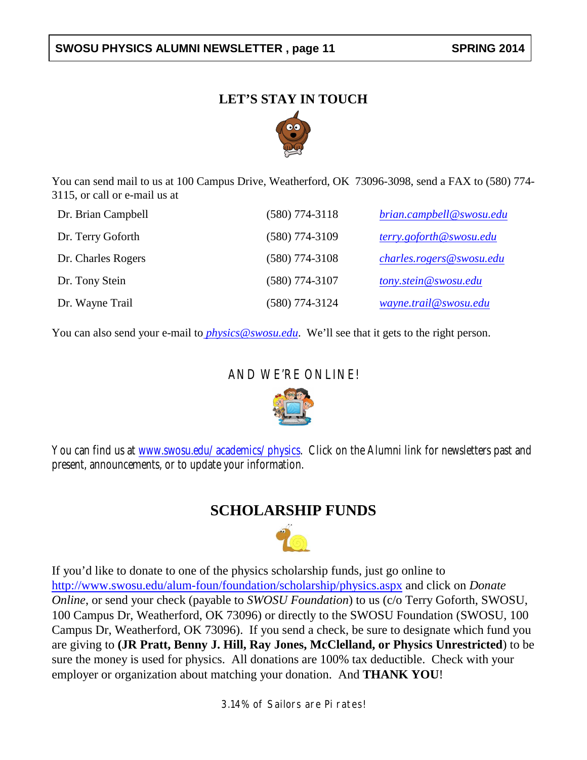#### SWOSU PHYSICS ALUMNI NEWSLETTER, page 11 SPRING 2014

#### **LET'S STAY IN TOUCH**



You can send mail to us at 100 Campus Drive, Weatherford, OK 73096-3098, send a FAX to (580) 774- 3115, or call or e-mail us at

| Dr. Brian Campbell | $(580)$ 774-3118 | brian.campbell@swosu.edu |
|--------------------|------------------|--------------------------|
| Dr. Terry Goforth  | $(580)$ 774-3109 | terry.goforth@swosu.edu  |
| Dr. Charles Rogers | $(580)$ 774-3108 | charles.rogers@swosu.edu |
| Dr. Tony Stein     | (580) 774-3107   | tony.stein@swosu.edu     |
| Dr. Wayne Trail    | (580) 774-3124   | wayne.trail@swosu.edu    |

You can also send your e-mail to *[physics@swosu.edu](mailto:%20physics@swosu.edu)*. We'll see that it gets to the right person.

#### AND WE'RE ONLINE!



You can find us at *[www.swosu.edu/academics/physics](http://www.swosu.edu/academics/physics)*. Click on the Alumni link for newsletters past and present, announcements, or to update your information.

#### **SCHOLARSHIP FUNDS**



If you'd like to donate to one of the physics scholarship funds, just go online to <http://www.swosu.edu/alum-foun/foundation/scholarship/physics.aspx> and click on *Donate Online*, or send your check (payable to *SWOSU Foundation*) to us (c/o Terry Goforth, SWOSU, 100 Campus Dr, Weatherford, OK 73096) or directly to the SWOSU Foundation (SWOSU, 100 Campus Dr, Weatherford, OK 73096). If you send a check, be sure to designate which fund you are giving to **(JR Pratt, Benny J. Hill, Ray Jones, McClelland, or Physics Unrestricted**) to be sure the money is used for physics. All donations are 100% tax deductible. Check with your employer or organization about matching your donation. And **THANK YOU**!

*3.14% of Sailors are Pi rates!*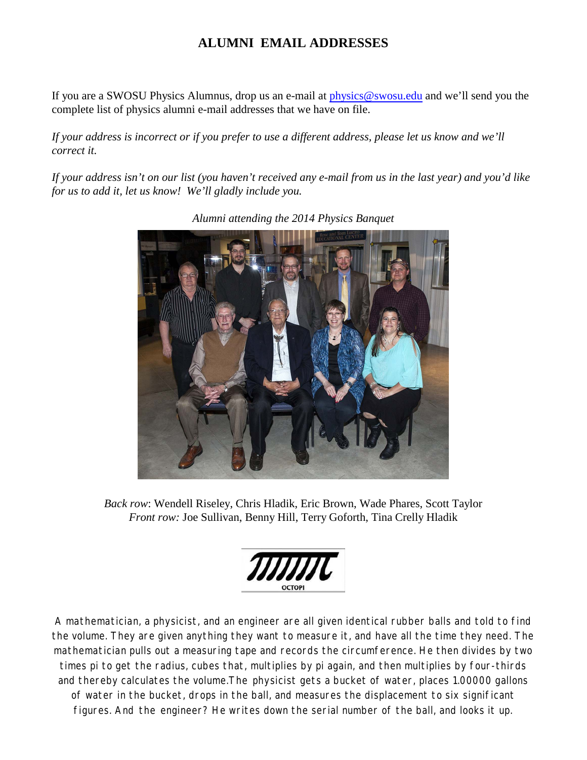#### **ALUMNI EMAIL ADDRESSES**

If you are a SWOSU Physics Alumnus, drop us an e-mail at [physics@swosu.edu](mailto:physics@swosu.edu) and we'll send you the complete list of physics alumni e-mail addresses that we have on file.

*If your address is incorrect or if you prefer to use a different address, please let us know and we'll correct it.*

*If your address isn't on our list (you haven't received any e-mail from us in the last year) and you'd like for us to add it, let us know! We'll gladly include you.*



*Alumni attending the 2014 Physics Banquet*

*Back row*: Wendell Riseley, Chris Hladik, Eric Brown, Wade Phares, Scott Taylor *Front row:* Joe Sullivan, Benny Hill, Terry Goforth, Tina Crelly Hladik

*A mathematician, a physicist, and an engineer are all given identical rubber balls and told to find the volume. They are given anything they want to measure it, and have all the time they need. The mathematician pulls out a measuring tape and records the circumference. He then divides by two times pi to get the radius, cubes that, multiplies by pi again, and then multiplies by four-thirds and thereby calculates the volume.The physicist gets a bucket of water, places 1.00000 gallons of water in the bucket, drops in the ball, and measures the displacement to six significant figures. And the engineer? He writes down the serial number of the ball, and looks it up.*